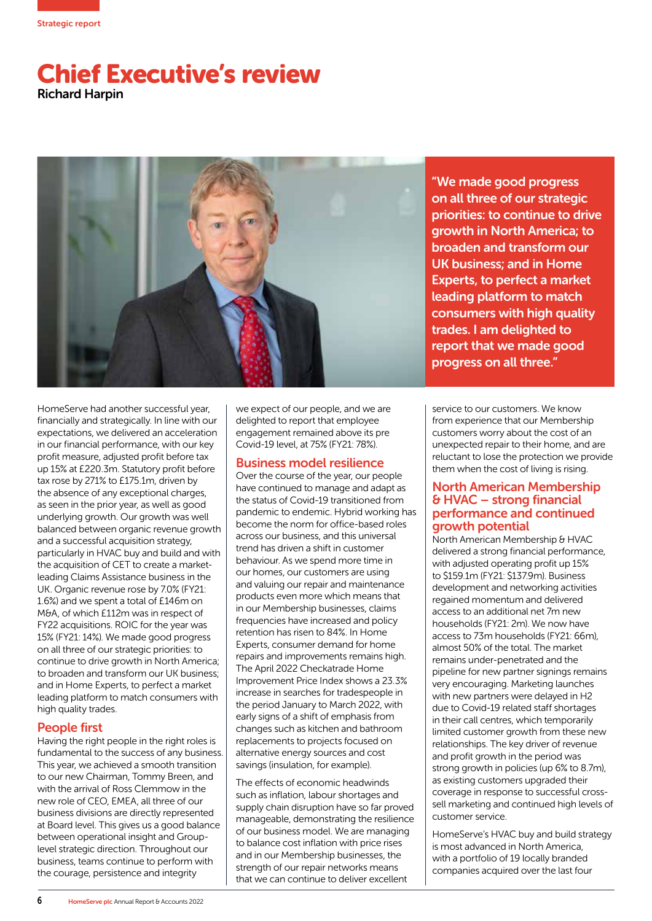

# Chief Executive's review Richard Harpin



"We made good progress on all three of our strategic priorities: to continue to drive growth in North America; to broaden and transform our UK business; and in Home Experts, to perfect a market leading platform to match consumers with high quality trades. I am delighted to report that we made good progress on all three."

HomeServe had another successful year, financially and strategically. In line with our expectations, we delivered an acceleration in our financial performance, with our key profit measure, adjusted profit before tax up 15% at £220.3m. Statutory profit before tax rose by 271% to £175.1m, driven by the absence of any exceptional charges, as seen in the prior year, as well as good underlying growth. Our growth was well balanced between organic revenue growth and a successful acquisition strategy, particularly in HVAC buy and build and with the acquisition of CET to create a marketleading Claims Assistance business in the UK. Organic revenue rose by 7.0% (FY21: 1.6%) and we spent a total of £146m on M&A, of which £112m was in respect of FY22 acquisitions. ROIC for the year was 15% (FY21: 14%). We made good progress on all three of our strategic priorities: to continue to drive growth in North America; to broaden and transform our UK business; and in Home Experts, to perfect a market leading platform to match consumers with high quality trades.

## People first

Having the right people in the right roles is fundamental to the success of any business. This year, we achieved a smooth transition to our new Chairman, Tommy Breen, and with the arrival of Ross Clemmow in the new role of CEO, EMEA, all three of our business divisions are directly represented at Board level. This gives us a good balance between operational insight and Grouplevel strategic direction. Throughout our business, teams continue to perform with the courage, persistence and integrity

we expect of our people, and we are delighted to report that employee engagement remained above its pre Covid-19 level, at 75% (FY21: 78%).

## Business model resilience

Over the course of the year, our people have continued to manage and adapt as the status of Covid-19 transitioned from pandemic to endemic. Hybrid working has become the norm for office-based roles across our business, and this universal trend has driven a shift in customer behaviour. As we spend more time in our homes, our customers are using and valuing our repair and maintenance products even more which means that in our Membership businesses, claims frequencies have increased and policy retention has risen to 84%. In Home Experts, consumer demand for home repairs and improvements remains high. The April 2022 Checkatrade Home Improvement Price Index shows a 23.3% increase in searches for tradespeople in the period January to March 2022, with early signs of a shift of emphasis from changes such as kitchen and bathroom replacements to projects focused on alternative energy sources and cost savings (insulation, for example).

The effects of economic headwinds such as inflation, labour shortages and supply chain disruption have so far proved manageable, demonstrating the resilience of our business model. We are managing to balance cost inflation with price rises and in our Membership businesses, the strength of our repair networks means that we can continue to deliver excellent

service to our customers. We know from experience that our Membership customers worry about the cost of an unexpected repair to their home, and are reluctant to lose the protection we provide them when the cost of living is rising.

#### North American Membership & HVAC – strong financial performance and continued growth potential

North American Membership & HVAC delivered a strong financial performance, with adjusted operating profit up 15% to \$159.1m (FY21: \$137.9m). Business development and networking activities regained momentum and delivered access to an additional net 7m new households (FY21: 2m). We now have access to 73m households (FY21: 66m), almost 50% of the total. The market remains under-penetrated and the pipeline for new partner signings remains very encouraging. Marketing launches with new partners were delayed in H2 due to Covid-19 related staff shortages in their call centres, which temporarily limited customer growth from these new relationships. The key driver of revenue and profit growth in the period was strong growth in policies (up 6% to 8.7m), as existing customers upgraded their coverage in response to successful crosssell marketing and continued high levels of customer service.

HomeServe's HVAC buy and build strategy is most advanced in North America, with a portfolio of 19 locally branded companies acquired over the last four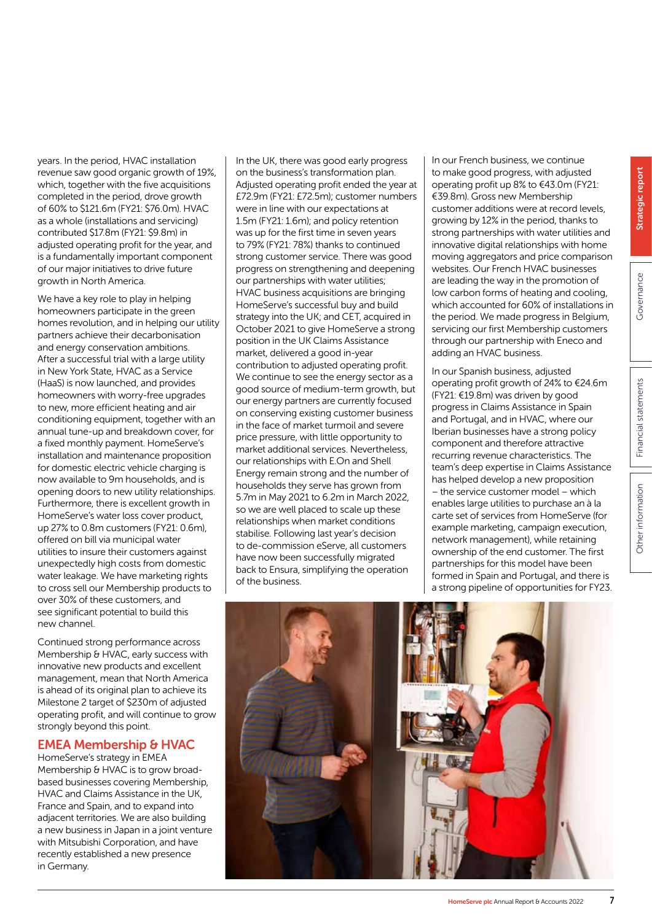years. In the period, HVAC installation revenue saw good organic growth of 19%, which, together with the five acquisitions completed in the period, drove growth of 60% to \$121.6m (FY21: \$76.0m). HVAC as a whole (installations and servicing) contributed \$17.8m (FY21: \$9.8m) in adjusted operating profit for the year, and is a fundamentally important component of our major initiatives to drive future growth in North America.

We have a key role to play in helping homeowners participate in the green homes revolution, and in helping our utility partners achieve their decarbonisation and energy conservation ambitions. After a successful trial with a large utility in New York State, HVAC as a Service (HaaS) is now launched, and provides homeowners with worry-free upgrades to new, more efficient heating and air conditioning equipment, together with an annual tune-up and breakdown cover, for a fixed monthly payment. HomeServe's installation and maintenance proposition for domestic electric vehicle charging is now available to 9m households, and is opening doors to new utility relationships. Furthermore, there is excellent growth in HomeServe's water loss cover product, up 27% to 0.8m customers (FY21: 0.6m), offered on bill via municipal water utilities to insure their customers against unexpectedly high costs from domestic water leakage. We have marketing rights to cross sell our Membership products to over 30% of these customers, and see significant potential to build this new channel.

Continued strong performance across Membership & HVAC, early success with innovative new products and excellent management, mean that North America is ahead of its original plan to achieve its Milestone 2 target of \$230m of adjusted operating profit, and will continue to grow strongly beyond this point.

## EMEA Membership & HVAC

HomeServe's strategy in EMEA Membership & HVAC is to grow broadbased businesses covering Membership, HVAC and Claims Assistance in the UK, France and Spain, and to expand into adjacent territories. We are also building a new business in Japan in a joint venture with Mitsubishi Corporation, and have recently established a new presence in Germany.

In the UK, there was good early progress on the business's transformation plan. Adjusted operating profit ended the year at £72.9m (FY21: £72.5m); customer numbers were in line with our expectations at 1.5m (FY21: 1.6m); and policy retention was up for the first time in seven years to 79% (FY21: 78%) thanks to continued strong customer service. There was good progress on strengthening and deepening our partnerships with water utilities; HVAC business acquisitions are bringing HomeServe's successful buy and build strategy into the UK; and CET, acquired in October 2021 to give HomeServe a strong position in the UK Claims Assistance market, delivered a good in-year contribution to adjusted operating profit. We continue to see the energy sector as a good source of medium-term growth, but our energy partners are currently focused on conserving existing customer business in the face of market turmoil and severe price pressure, with little opportunity to market additional services. Nevertheless, our relationships with E.On and Shell Energy remain strong and the number of households they serve has grown from 5.7m in May 2021 to 6.2m in March 2022, so we are well placed to scale up these relationships when market conditions stabilise. Following last year's decision to de-commission eServe, all customers have now been successfully migrated back to Ensura, simplifying the operation of the business.

In our French business, we continue to make good progress, with adjusted operating profit up 8% to €43.0m (FY21: €39.8m). Gross new Membership customer additions were at record levels, growing by 12% in the period, thanks to strong partnerships with water utilities and innovative digital relationships with home moving aggregators and price comparison websites. Our French HVAC businesses are leading the way in the promotion of low carbon forms of heating and cooling, which accounted for 60% of installations in the period. We made progress in Belgium, servicing our first Membership customers through our partnership with Eneco and adding an HVAC business.

In our Spanish business, adjusted operating profit growth of 24% to €24.6m (FY21: €19.8m) was driven by good progress in Claims Assistance in Spain and Portugal, and in HVAC, where our Iberian businesses have a strong policy component and therefore attractive recurring revenue characteristics. The team's deep expertise in Claims Assistance has helped develop a new proposition – the service customer model – which enables large utilities to purchase an à la carte set of services from HomeServe (for example marketing, campaign execution, network management), while retaining ownership of the end customer. The first partnerships for this model have been formed in Spain and Portugal, and there is a strong pipeline of opportunities for FY23.